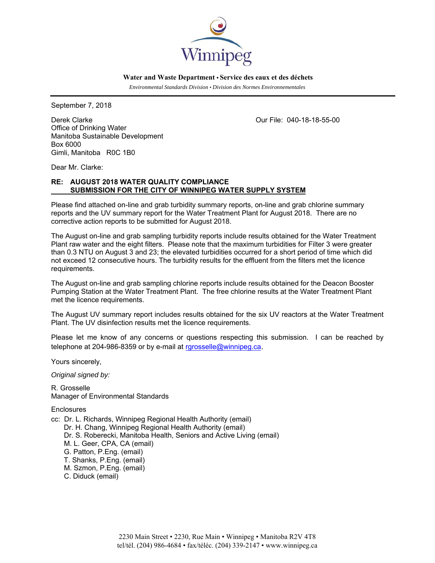

 **Water and Waste Department • Service des eaux et des déchets**

 *Environmental Standards Division • Division des Normes Environnementales* 

September 7, 2018

Derek Clarke Our File: 040-18-18-55-00 Office of Drinking Water Manitoba Sustainable Development Box 6000 Gimli, Manitoba R0C 1B0

Dear Mr. Clarke:

## **RE: AUGUST 2018 WATER QUALITY COMPLIANCE SUBMISSION FOR THE CITY OF WINNIPEG WATER SUPPLY SYSTEM**

Please find attached on-line and grab turbidity summary reports, on-line and grab chlorine summary reports and the UV summary report for the Water Treatment Plant for August 2018. There are no corrective action reports to be submitted for August 2018.

The August on-line and grab sampling turbidity reports include results obtained for the Water Treatment Plant raw water and the eight filters. Please note that the maximum turbidities for Filter 3 were greater than 0.3 NTU on August 3 and 23; the elevated turbidities occurred for a short period of time which did not exceed 12 consecutive hours. The turbidity results for the effluent from the filters met the licence requirements.

The August on-line and grab sampling chlorine reports include results obtained for the Deacon Booster Pumping Station at the Water Treatment Plant. The free chlorine results at the Water Treatment Plant met the licence requirements.

The August UV summary report includes results obtained for the six UV reactors at the Water Treatment Plant. The UV disinfection results met the licence requirements.

Please let me know of any concerns or questions respecting this submission. I can be reached by telephone at 204-986-8359 or by e-mail at rgrosselle@winnipeg.ca.

Yours sincerely,

*Original signed by:* 

R. Grosselle Manager of Environmental Standards

**Enclosures** 

cc: Dr. L. Richards, Winnipeg Regional Health Authority (email) Dr. H. Chang, Winnipeg Regional Health Authority (email) Dr. S. Roberecki, Manitoba Health, Seniors and Active Living (email) M. L. Geer, CPA, CA (email) G. Patton, P.Eng. (email) T. Shanks, P.Eng. (email) M. Szmon, P.Eng. (email) C. Diduck (email)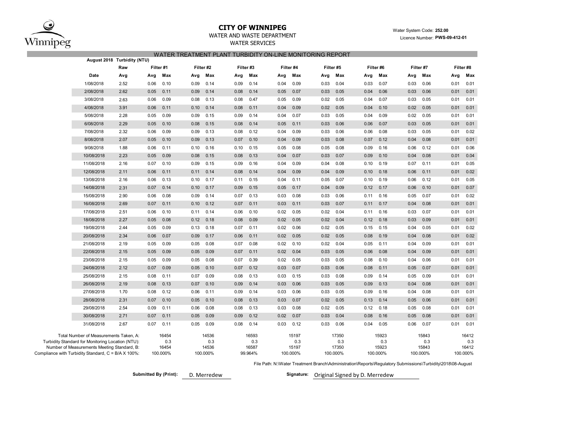

## **CITY OF WINNIPEG**

## WATER AND WASTE DEPARTMENT

WATER SERVICES

#### Water System Code: **252.00** Licence Number: **PWS-09-412-01**

### WATER TREATMENT PLANT TURBIDITY ON-LINE MONITORING REPORT

|                                                                                                                                            | August 2018 Turbidity (NTU) |                  |      |                       |      |                       |          |                       |      |                       |          |                       |      |                       |           |                       |           |                       |  |
|--------------------------------------------------------------------------------------------------------------------------------------------|-----------------------------|------------------|------|-----------------------|------|-----------------------|----------|-----------------------|------|-----------------------|----------|-----------------------|------|-----------------------|-----------|-----------------------|-----------|-----------------------|--|
|                                                                                                                                            |                             | Filter #1<br>Raw |      |                       |      | Filter #2             | Filter#3 |                       |      | Filter #4             |          | Filter #5             |      | Filter #6             | Filter #7 |                       | Filter #8 |                       |  |
|                                                                                                                                            | Date                        | Avg              | Avg  | Max                   | Avg  | Max                   | Avg      | Max                   | Avg  | Max                   | Avg      | Max                   | Avg  | Max                   | Avg       | Max                   | Avg       | Max                   |  |
|                                                                                                                                            | 1/08/2018                   | 2.52             | 0.06 | 0.10                  | 0.09 | 0.14                  | 0.09     | 0.14                  | 0.04 | 0.09                  | 0.03     | 0.04                  | 0.03 | 0.07                  | 0.03      | 0.06                  | 0.01      | 0.01                  |  |
|                                                                                                                                            | 2/08/2018                   | 2.62             | 0.05 | 0.11                  | 0.09 | 0.14                  | 0.08     | 0.14                  | 0.05 | 0.07                  | 0.03     | 0.05                  | 0.04 | 0.06                  | 0.03      | 0.06                  | 0.01      | 0.01                  |  |
|                                                                                                                                            | 3/08/2018                   | 2.63             | 0.06 | 0.09                  | 0.08 | 0.13                  | 0.08     | 0.47                  | 0.05 | 0.09                  | 0.02     | 0.05                  | 0.04 | 0.07                  | 0.03      | 0.05                  | 0.01      | 0.01                  |  |
|                                                                                                                                            | 4/08/2018                   | 3.91             | 0.06 | 0.11                  | 0.10 | 0.14                  | 0.08     | 0.11                  | 0.04 | 0.09                  | 0.02     | 0.05                  | 0.04 | 0.10                  | 0.02      | 0.05                  | 0.01      | 0.01                  |  |
|                                                                                                                                            | 5/08/2018                   | 2.28             | 0.05 | 0.09                  | 0.09 | 0.15                  | 0.09     | 0.14                  | 0.04 | 0.07                  | 0.03     | 0.05                  | 0.04 | 0.09                  | 0.02      | 0.05                  | 0.01      | 0.01                  |  |
|                                                                                                                                            | 6/08/2018                   | 2.29             | 0.05 | 0.10                  | 0.08 | 0.15                  | 0.08     | 0.14                  | 0.05 | 0.11                  | 0.03     | 0.06                  | 0.06 | 0.07                  | 0.03      | 0.05                  | 0.01      | 0.01                  |  |
|                                                                                                                                            | 7/08/2018                   | 2.32             | 0.06 | 0.09                  | 0.09 | 0.13                  | 0.08     | 0.12                  | 0.04 | 0.09                  | 0.03     | 0.06                  | 0.06 | 0.08                  | 0.03      | 0.05                  | 0.01      | 0.02                  |  |
|                                                                                                                                            | 8/08/2018                   | 2.07             | 0.05 | 0.10                  | 0.09 | 0.13                  | 0.07     | 0.10                  | 0.04 | 0.09                  | 0.03     | 0.08                  | 0.07 | 0.12                  | 0.04      | 0.08                  | 0.01      | 0.01                  |  |
|                                                                                                                                            | 9/08/2018                   | 1.88             | 0.06 | 0.11                  | 0.10 | 0.16                  | 0.10     | 0.15                  | 0.05 | 0.08                  | 0.05     | 0.08                  | 0.09 | 0.16                  | 0.06      | 0.12                  | 0.01      | 0.06                  |  |
|                                                                                                                                            | 10/08/2018                  | 2.23             | 0.05 | 0.09                  | 0.08 | 0.15                  | 0.08     | 0.13                  | 0.04 | 0.07                  | 0.03     | 0.07                  | 0.09 | 0.10                  | 0.04      | 0.08                  | 0.01      | 0.04                  |  |
|                                                                                                                                            | 11/08/2018                  | 2.16             | 0.07 | 0.10                  | 0.09 | 0.15                  | 0.09     | 0.16                  | 0.04 | 0.09                  | 0.04     | 0.08                  | 0.10 | 0.19                  | 0.07      | 0.11                  | 0.01      | 0.05                  |  |
|                                                                                                                                            | 12/08/2018                  | 2.11             | 0.06 | 0.11                  | 0.11 | 0.14                  | 0.08     | 0.14                  | 0.04 | 0.09                  | 0.04     | 0.09                  | 0.10 | 0.18                  | 0.06      | 0.11                  | 0.01      | 0.02                  |  |
|                                                                                                                                            | 13/08/2018                  | 2.16             | 0.06 | 0.13                  | 0.10 | 0.17                  | 0.11     | 0.15                  | 0.04 | 0.11                  | 0.05     | 0.07                  | 0.10 | 0.19                  | 0.06      | 0.12                  | 0.01      | 0.05                  |  |
|                                                                                                                                            | 14/08/2018                  | 2.31             | 0.07 | 0.14                  | 0.10 | 0.17                  | 0.09     | 0.15                  | 0.05 | 0.17                  | 0.04     | 0.09                  | 0.12 | 0.17                  | 0.06      | 0.10                  | 0.01      | 0.07                  |  |
|                                                                                                                                            | 15/08/2018                  | 2.90             | 0.06 | 0.08                  | 0.09 | 0.14                  | 0.07     | 0.13                  | 0.03 | 0.08                  | 0.03     | 0.06                  | 0.11 | 0.16                  | 0.05      | 0.07                  | 0.01      | 0.02                  |  |
|                                                                                                                                            | 16/08/2018                  | 2.69             | 0.07 | 0.11                  | 0.10 | 0.12                  | 0.07     | 0.11                  | 0.03 | 0.11                  | 0.03     | 0.07                  | 0.11 | 0.17                  | 0.04      | 0.08                  | 0.01      | 0.01                  |  |
|                                                                                                                                            | 17/08/2018                  | 2.51             | 0.06 | 0.10                  | 0.11 | 0.14                  | 0.06     | 0.10                  | 0.02 | 0.05                  | 0.02     | 0.04                  | 0.11 | 0.16                  | 0.03      | 0.07                  | 0.01      | 0.01                  |  |
|                                                                                                                                            | 18/08/2018                  | 2.27             | 0.05 | 0.08                  | 0.12 | 0.18                  | 0.08     | 0.09                  | 0.02 | 0.05                  | 0.02     | 0.04                  | 0.12 | 0.18                  | 0.03      | 0.09                  | 0.01      | 0.01                  |  |
|                                                                                                                                            | 19/08/2018                  | 2.44             | 0.05 | 0.09                  | 0.13 | 0.18                  | 0.07     | 0.11                  | 0.02 | 0.06                  | 0.02     | 0.05                  | 0.15 | 0.15                  | 0.04      | 0.05                  | 0.01      | 0.02                  |  |
|                                                                                                                                            | 20/08/2018                  | 2.34             | 0.06 | 0.07                  | 0.09 | 0.17                  | 0.06     | 0.11                  | 0.02 | 0.05                  | 0.02     | 0.05                  | 0.08 | 0.19                  | 0.04      | 0.08                  | 0.01      | 0.02                  |  |
|                                                                                                                                            | 21/08/2018                  | 2.19             | 0.05 | 0.09                  | 0.05 | 0.08                  | 0.07     | 0.08                  | 0.02 | 0.10                  | 0.02     | 0.04                  | 0.05 | 0.11                  | 0.04      | 0.09                  | 0.01      | 0.01                  |  |
|                                                                                                                                            | 22/08/2018                  | 2.15             | 0.05 | 0.09                  | 0.05 | 0.09                  | 0.07     | 0.11                  | 0.02 | 0.04                  | 0.03     | 0.05                  | 0.06 | 0.08                  | 0.04      | 0.09                  | 0.01      | 0.01                  |  |
|                                                                                                                                            | 23/08/2018                  | 2.15             | 0.05 | 0.09                  | 0.05 | 0.08                  | 0.07     | 0.39                  | 0.02 | 0.05                  | 0.03     | 0.05                  | 0.08 | 0.10                  | 0.04      | 0.06                  | 0.01      | 0.01                  |  |
|                                                                                                                                            | 24/08/2018                  | 2.12             | 0.07 | 0.09                  | 0.05 | 0.10                  | 0.07     | 0.12                  | 0.03 | 0.07                  | 0.03     | 0.06                  | 0.08 | 0.11                  | 0.05      | 0.07                  | 0.01      | 0.01                  |  |
|                                                                                                                                            | 25/08/2018                  | 2.15             | 0.08 | 0.11                  | 0.07 | 0.09                  | 0.08     | 0.13                  | 0.03 | 0.15                  | 0.03     | 0.08                  | 0.09 | 0.14                  | 0.05      | 0.09                  | 0.01      | 0.01                  |  |
|                                                                                                                                            | 26/08/2018                  | 2.19             | 0.08 | 0.13                  | 0.07 | 0.10                  | 0.09     | 0.14                  | 0.03 | 0.06                  | 0.03     | 0.05                  | 0.09 | 0.13                  | 0.04      | 0.08                  | 0.01      | 0.01                  |  |
|                                                                                                                                            | 27/08/2018                  | 1.70             | 0.08 | 0.12                  | 0.06 | 0.11                  | 0.09     | 0.14                  | 0.03 | 0.06                  | 0.03     | 0.05                  | 0.09 | 0.16                  | 0.04      | 0.08                  | 0.01      | 0.01                  |  |
|                                                                                                                                            | 28/08/2018                  | 2.31             | 0.07 | 0.10                  | 0.05 | 0.10                  | 0.08     | 0.13                  | 0.03 | 0.07                  | 0.02     | 0.05                  | 0.13 | 0.14                  | 0.05      | 0.06                  | 0.01      | 0.01                  |  |
|                                                                                                                                            | 29/08/2018                  | 2.54             | 0.09 | 0.11                  | 0.06 | 0.08                  | 0.08     | 0.13                  | 0.03 | 0.08                  | 0.02     | 0.05                  | 0.12 | 0.18                  | 0.05      | 0.08                  | 0.01      | 0.01                  |  |
|                                                                                                                                            | 30/08/2018                  | 2.71             | 0.07 | 0.11                  | 0.05 | 0.09                  | 0.09     | 0.12                  | 0.02 | 0.07                  | 0.03     | 0.04                  | 0.08 | 0.16                  | 0.05      | 0.08                  | 0.01      | 0.01                  |  |
|                                                                                                                                            | 31/08/2018                  | 2.67             | 0.07 | 0.11                  | 0.05 | 0.09                  | 0.08     | 0.14                  | 0.03 | 0.12                  | 0.03     | 0.06                  | 0.04 | 0.05                  | 0.06      | 0.07                  | 0.01      | 0.01                  |  |
| Total Number of Measurements Taken, A:<br>Turbidity Standard for Monitoring Location (NTU):<br>Number of Measurements Meeting Standard, B: |                             |                  |      | 16454<br>0.3<br>16454 |      | 14536<br>0.3<br>14536 |          | 16593<br>0.3<br>16587 |      | 15197<br>0.3<br>15197 |          | 17350<br>0.3<br>17350 |      | 15923<br>0.3<br>15923 |           | 15843<br>0.3<br>15843 |           | 16412<br>0.3<br>16412 |  |
| Compliance with Turbidity Standard, C = B/A X 100%:                                                                                        |                             |                  |      | 100.000%              |      | 100.000%              |          | 99.964%               |      | 100.000%              | 100.000% |                       |      | 100.000%              |           | 100.000%              | 100.000%  |                       |  |

File Path: N:\Water Treatment Branch\Administration\Reports\Regulatory Submissions\Turbidity\2018\08-August

Submitted By (Print): D. Merredew **Communist Communist Communist Communist Communist Communist Communist Communist Communist Communist Communist Communist Communist Communist Communist Communist Communist Communist Communi**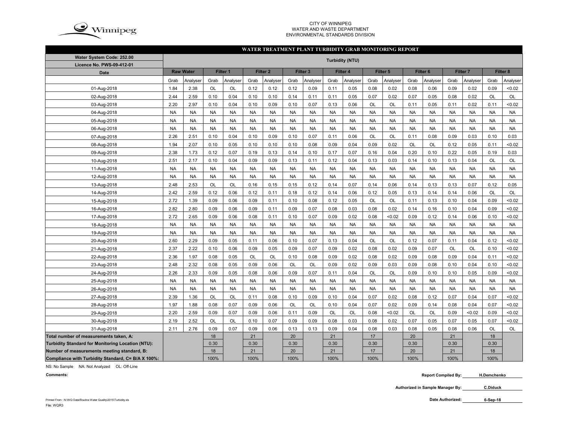

#### CITY OF WINNIPEG WATER AND WASTE DEPARTMENTENVIRONMENTAL STANDARDS DIVISION

#### **WATER TREATMENT PLANT TURBIDITY GRAB MONITORING REPORT**

| Water System Code: 252.00                          | <b>Turbidity (NTU)</b> |                  |           |           |           |                     |           |                     |           |           |           |           |                     |           |                     |           |           |           |
|----------------------------------------------------|------------------------|------------------|-----------|-----------|-----------|---------------------|-----------|---------------------|-----------|-----------|-----------|-----------|---------------------|-----------|---------------------|-----------|-----------|-----------|
| Licence No. PWS-09-412-01                          |                        |                  |           |           |           |                     |           |                     |           |           |           |           |                     |           |                     |           |           |           |
| <b>Date</b>                                        |                        | <b>Raw Water</b> | Filter 1  |           |           | Filter <sub>2</sub> |           | Filter <sub>3</sub> |           | Filter 4  |           | Filter 5  | Filter <sub>6</sub> |           | Filter <sub>7</sub> |           | Filter 8  |           |
|                                                    | Grab                   | Analyser         | Grab      | Analyser  | Grab      | Analyser            | Grab      | Analyser            | Grab      | Analyser  | Grab      | Analyser  | Grab                | Analyser  | Grab                | Analyser  | Grab      | Analyser  |
| 01-Aug-2018                                        | 1.84                   | 2.38             | OL        | OL        | 0.12      | 0.12                | 0.12      | 0.09                | 0.11      | 0.05      | 0.08      | 0.02      | 0.08                | 0.06      | 0.09                | 0.02      | 0.09      | < 0.02    |
| 02-Aug-2018                                        | 2.44                   | 2.59             | 0.10      | 0.04      | 0.10      | 0.10                | 0.14      | 0.11                | 0.11      | 0.05      | 0.07      | 0.02      | 0.07                | 0.05      | 0.08                | 0.02      | <b>OL</b> | <b>OL</b> |
| 03-Aug-2018                                        | 2.20                   | 2.97             | 0.10      | 0.04      | 0.10      | 0.09                | 0.10      | 0.07                | 0.13      | 0.06      | OL        | OL        | 0.11                | 0.05      | 0.11                | 0.02      | 0.11      | <0.02     |
| 04-Aug-2018                                        | <b>NA</b>              | <b>NA</b>        | <b>NA</b> | <b>NA</b> | <b>NA</b> | <b>NA</b>           | <b>NA</b> | <b>NA</b>           | <b>NA</b> | <b>NA</b> | <b>NA</b> | <b>NA</b> | <b>NA</b>           | <b>NA</b> | <b>NA</b>           | <b>NA</b> | <b>NA</b> | <b>NA</b> |
| 05-Aug-2018                                        | <b>NA</b>              | <b>NA</b>        | <b>NA</b> | <b>NA</b> | <b>NA</b> | <b>NA</b>           | <b>NA</b> | <b>NA</b>           | <b>NA</b> | <b>NA</b> | <b>NA</b> | <b>NA</b> | <b>NA</b>           | <b>NA</b> | <b>NA</b>           | <b>NA</b> | <b>NA</b> | <b>NA</b> |
| 06-Aug-2018                                        | <b>NA</b>              | <b>NA</b>        | <b>NA</b> | <b>NA</b> | <b>NA</b> | <b>NA</b>           | <b>NA</b> | <b>NA</b>           | <b>NA</b> | <b>NA</b> | <b>NA</b> | <b>NA</b> | <b>NA</b>           | <b>NA</b> | <b>NA</b>           | <b>NA</b> | <b>NA</b> | <b>NA</b> |
| 07-Aug-2018                                        | 2.26                   | 2.51             | 0.10      | 0.04      | 0.10      | 0.09                | 0.10      | 0.07                | 0.11      | 0.06      | <b>OL</b> | OL        | 0.11                | 0.08      | 0.09                | 0.03      | 0.10      | 0.03      |
| 08-Aug-2018                                        | 1.94                   | 2.07             | 0.10      | 0.05      | 0.10      | 0.10                | 0.10      | 0.08                | 0.09      | 0.04      | 0.09      | 0.02      | OL                  | OL        | 0.12                | 0.05      | 0.11      | <0.02     |
| 09-Aug-2018                                        | 2.38                   | 1.73             | 0.12      | 0.07      | 0.19      | 0.13                | 0.14      | 0.10                | 0.17      | 0.07      | 0.16      | 0.04      | 0.20                | 0.10      | 0.22                | 0.05      | 0.19      | 0.03      |
| 10-Aug-2018                                        | 2.51                   | 2.17             | 0.10      | 0.04      | 0.09      | 0.09                | 0.13      | 0.11                | 0.12      | 0.04      | 0.13      | 0.03      | 0.14                | 0.10      | 0.13                | 0.04      | OL        | <b>OL</b> |
| 11-Aug-2018                                        | <b>NA</b>              | <b>NA</b>        | <b>NA</b> | <b>NA</b> | <b>NA</b> | <b>NA</b>           | <b>NA</b> | <b>NA</b>           | <b>NA</b> | <b>NA</b> | <b>NA</b> | <b>NA</b> | <b>NA</b>           | <b>NA</b> | <b>NA</b>           | <b>NA</b> | <b>NA</b> | <b>NA</b> |
| 12-Aug-2018                                        | <b>NA</b>              | <b>NA</b>        | <b>NA</b> | <b>NA</b> | <b>NA</b> | <b>NA</b>           | <b>NA</b> | <b>NA</b>           | <b>NA</b> | <b>NA</b> | <b>NA</b> | <b>NA</b> | <b>NA</b>           | <b>NA</b> | <b>NA</b>           | <b>NA</b> | <b>NA</b> | <b>NA</b> |
| 13-Aug-2018                                        | 2.48                   | 2.53             | OL        | OL        | 0.16      | 0.15                | 0.15      | 0.12                | 0.14      | 0.07      | 0.14      | 0.06      | 0.14                | 0.13      | 0.13                | 0.07      | 0.12      | 0.05      |
| 14-Aug-2018                                        | 2.42                   | 2.59             | 0.12      | 0.06      | 0.12      | 0.11                | 0.18      | 0.12                | 0.14      | 0.06      | 0.12      | 0.05      | 0.13                | 0.14      | 0.14                | 0.06      | OL        | OL        |
| 15-Aug-2018                                        | 2.72                   | 1.39             | 0.09      | 0.06      | 0.09      | 0.11                | 0.10      | 0.08                | 0.12      | 0.05      | OL        | OL        | 0.11                | 0.13      | 0.10                | 0.04      | 0.09      | <0.02     |
| 16-Aug-2018                                        | 2.82                   | 2.80             | 0.09      | 0.06      | 0.09      | 0.11                | 0.09      | 0.07                | 0.08      | 0.03      | 0.08      | 0.02      | 0.14                | 0.16      | 0.10                | 0.04      | 0.09      | <0.02     |
| 17-Aug-2018                                        | 2.72                   | 2.65             | 0.09      | 0.06      | 0.08      | 0.11                | 0.10      | 0.07                | 0.09      | 0.02      | 0.08      | < 0.02    | 0.09                | 0.12      | 0.14                | 0.06      | 0.10      | < 0.02    |
| 18-Aug-2018                                        | <b>NA</b>              | <b>NA</b>        | <b>NA</b> | <b>NA</b> | <b>NA</b> | <b>NA</b>           | <b>NA</b> | <b>NA</b>           | <b>NA</b> | <b>NA</b> | <b>NA</b> | <b>NA</b> | <b>NA</b>           | <b>NA</b> | <b>NA</b>           | <b>NA</b> | <b>NA</b> | <b>NA</b> |
| 19-Aug-2018                                        | <b>NA</b>              | <b>NA</b>        | <b>NA</b> | <b>NA</b> | <b>NA</b> | <b>NA</b>           | <b>NA</b> | <b>NA</b>           | <b>NA</b> | <b>NA</b> | <b>NA</b> | <b>NA</b> | <b>NA</b>           | <b>NA</b> | <b>NA</b>           | <b>NA</b> | <b>NA</b> | <b>NA</b> |
| 20-Aug-2018                                        | 2.60                   | 2.29             | 0.09      | 0.05      | 0.11      | 0.06                | 0.10      | 0.07                | 0.13      | 0.04      | <b>OL</b> | OL        | 0.12                | 0.07      | 0.11                | 0.04      | 0.12      | <0.02     |
| 21-Aug-2018                                        | 2.37                   | 2.22             | 0.10      | 0.06      | 0.09      | 0.05                | 0.09      | 0.07                | 0.09      | 0.02      | 0.08      | 0.02      | 0.09                | 0.07      | OL                  | OL        | 0.10      | <0.02     |
| 22-Aug-2018                                        | 2.36                   | 1.97             | 0.08      | 0.05      | OL        | OL                  | 0.10      | 0.08                | 0.09      | 0.02      | 0.08      | 0.02      | 0.09                | 0.08      | 0.09                | 0.04      | 0.11      | <0.02     |
| 23-Aug-2018                                        | 2.48                   | 2.32             | 0.08      | 0.05      | 0.09      | 0.06                | <b>OL</b> | <b>OL</b>           | 0.09      | 0.02      | 0.09      | 0.03      | 0.09                | 0.08      | 0.10                | 0.04      | 0.10      | < 0.02    |
| 24-Aug-2018                                        | 2.26                   | 2.33             | 0.09      | 0.05      | 0.08      | 0.06                | 0.09      | 0.07                | 0.11      | 0.04      | OL        | OL        | 0.09                | 0.10      | 0.10                | 0.05      | 0.09      | < 0.02    |
| 25-Aug-2018                                        | <b>NA</b>              | <b>NA</b>        | <b>NA</b> | <b>NA</b> | <b>NA</b> | <b>NA</b>           | <b>NA</b> | <b>NA</b>           | <b>NA</b> | <b>NA</b> | <b>NA</b> | <b>NA</b> | <b>NA</b>           | <b>NA</b> | <b>NA</b>           | <b>NA</b> | <b>NA</b> | <b>NA</b> |
| 26-Aug-2018                                        | <b>NA</b>              | <b>NA</b>        | <b>NA</b> | <b>NA</b> | <b>NA</b> | <b>NA</b>           | <b>NA</b> | <b>NA</b>           | <b>NA</b> | <b>NA</b> | <b>NA</b> | <b>NA</b> | <b>NA</b>           | <b>NA</b> | <b>NA</b>           | <b>NA</b> | <b>NA</b> | <b>NA</b> |
| 27-Aug-2018                                        | 2.39                   | 1.36             | OL        | OL        | 0.11      | 0.08                | 0.10      | 0.09                | 0.10      | 0.04      | 0.07      | 0.02      | 0.08                | 0.12      | 0.07                | 0.04      | 0.07      | <0.02     |
| 28-Aug-2018                                        | 1.97                   | 1.88             | 0.08      | 0.07      | 0.09      | 0.06                | OL        | <b>OL</b>           | 0.10      | 0.04      | 0.07      | 0.02      | 0.09                | 0.14      | 0.08                | 0.04      | 0.07      | <0.02     |
| 29-Aug-2018                                        | 2.20                   | 2.59             | 0.09      | 0.07      | 0.09      | 0.06                | 0.11      | 0.09                | <b>OL</b> | OL        | 0.08      | < 0.02    | <b>OL</b>           | OL        | 0.09                | <0.02     | 0.09      | < 0.02    |
| 30-Aug-2018                                        | 2.19                   | 2.52             | OL        | <b>OL</b> | 0.10      | 0.07                | 0.09      | 0.09                | 0.08      | 0.03      | 0.08      | 0.02      | 0.07                | 0.05      | 0.07                | 0.05      | 0.07      | < 0.02    |
| 31-Aug-2018                                        | 2.11                   | 2.76             | 0.09      | 0.07      | 0.09      | 0.06                | 0.13      | 0.13                | 0.09      | 0.04      | 0.08      | 0.03      | 0.08                | 0.05      | 0.08                | 0.06      | OL        | <b>OL</b> |
| Total number of measurements taken, A:             |                        |                  | 18        |           | 21        |                     | 20        |                     | 21        |           | 17        |           | 20                  |           | 21                  |           | 18        |           |
| Turbidity Standard for Monitoring Location (NTU):  |                        |                  | 0.30      |           | 0.30      |                     | 0.30      |                     | 0.30      |           | 0.30      |           | 0.30                |           | 0.30                |           | 0.30      |           |
| Number of measurements meeting standard, B:        |                        |                  | 18        |           | 21        |                     | 20        |                     | 21        |           | 17        |           | 20                  |           | 21                  |           | 18        |           |
| Compliance with Turbidity Standard, C= B/A X 100%: |                        |                  | 100%      |           | 100%      |                     | 100%      |                     | 100%      |           | 100%      |           | 100%                |           | 100%                |           | 100%      |           |

NS: No Sample NA: Not Analyzed OL: Off-Line

**Comments:**

 **Report Compiled By: H.Demchenko**

**Authorized in Sample Manager By: C.Diduck**

**6-Sep-18**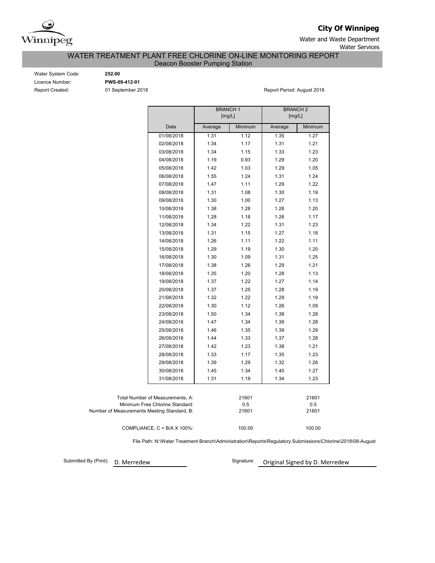

**City Of Winnipeg**

Water and Waste Department Water Services

WATER TREATMENT PLANT FREE CHLORINE ON-LINE MONITORING REPORT

Deacon Booster Pumping Station

Water System Code: **252.00** Licence Number: **PWS-09-412-01**

Report Created: 01 September 2018 Report Period: August 2018

|                                             | <b>BRANCH1</b><br>[mg/L] |         | <b>BRANCH 2</b><br>[mg/L] |         |  |  |  |
|---------------------------------------------|--------------------------|---------|---------------------------|---------|--|--|--|
| Date                                        | Average                  | Minimum | Average                   | Minimum |  |  |  |
| 01/08/2018                                  | 1.31                     | 1.12    | 1.35                      | 1.27    |  |  |  |
| 02/08/2018                                  | 1.34                     | 1.17    | 1.31                      | 1.21    |  |  |  |
| 03/08/2018                                  | 1.34                     | 1.15    | 1.33                      | 1.23    |  |  |  |
| 04/08/2018                                  | 1.19                     | 0.93    | 1.29                      | 1.20    |  |  |  |
| 05/08/2018                                  | 1.42                     | 1.03    | 1.29                      | 1.05    |  |  |  |
| 06/08/2018                                  | 1.55                     | 1.24    | 1.31                      | 1.24    |  |  |  |
| 07/08/2018                                  | 1.47                     | 1.11    | 1.29                      | 1.22    |  |  |  |
| 08/08/2018                                  | 1.31                     | 1.08    | 1.30                      | 1.19    |  |  |  |
| 09/08/2018                                  | 1.30                     | 1.00    | 1.27                      | 1.13    |  |  |  |
| 10/08/2018                                  | 1.38                     | 1.28    | 1.28                      | 1.20    |  |  |  |
| 11/08/2018                                  | 1.28                     | 1.18    | 1.26                      | 1.17    |  |  |  |
| 12/08/2018                                  | 1.34                     | 1.22    | 1.31                      | 1.23    |  |  |  |
| 13/08/2018                                  | 1.31                     | 1.15    | 1.27                      | 1.18    |  |  |  |
| 14/08/2018                                  | 1.26                     | 1.11    | 1.22                      | 1.11    |  |  |  |
| 15/08/2018                                  | 1.29                     | 1.19    | 1.30                      | 1.20    |  |  |  |
| 16/08/2018                                  | 1.30                     | 1.09    | 1.31                      | 1.25    |  |  |  |
| 17/08/2018                                  | 1.38                     | 1.26    | 1.29                      | 1.21    |  |  |  |
| 18/08/2018                                  | 1.35                     | 1.20    | 1.28                      | 1.13    |  |  |  |
| 19/08/2018                                  | 1.37                     | 1.22    | 1.27                      | 1.14    |  |  |  |
| 20/08/2018                                  | 1.37                     | 1.25    | 1.28                      | 1.19    |  |  |  |
| 21/08/2018                                  | 1.32                     | 1.22    | 1.29                      | 1.19    |  |  |  |
| 22/08/2018                                  | 1.30                     | 1.12    | 1.26                      | 1.09    |  |  |  |
| 23/08/2018                                  | 1.50                     | 1.34    | 1.38                      | 1.28    |  |  |  |
| 24/08/2018                                  | 1.47                     | 1.34    | 1.39                      | 1.28    |  |  |  |
| 25/08/2018                                  | 1.46                     | 1.35    | 1.39                      | 1.29    |  |  |  |
| 26/08/2018                                  | 1.44                     | 1.33    | 1.37                      | 1.28    |  |  |  |
| 27/08/2018                                  | 1.42                     | 1.23    | 1.38                      | 1.21    |  |  |  |
| 28/08/2018                                  | 1.33                     | 1.17    | 1.35                      | 1.23    |  |  |  |
| 29/08/2018                                  | 1.39                     | 1.29    | 1.32                      | 1.26    |  |  |  |
| 30/08/2018                                  | 1.45                     | 1.34    | 1.40                      | 1.27    |  |  |  |
| 31/08/2018                                  | 1.31                     | 1.19    | 1.34                      | 1.23    |  |  |  |
|                                             |                          |         |                           |         |  |  |  |
| Total Number of Measurements, A:            |                          | 21601   |                           | 21601   |  |  |  |
| Minimum Free Chlorine Standard:             |                          | 0.5     |                           | 0.5     |  |  |  |
| Number of Measurements Meeting Standard, B: |                          | 21601   |                           | 21601   |  |  |  |
| COMPLIANCE, C = B/A X 100%:                 |                          | 100.00  |                           | 100.00  |  |  |  |

File Path: N:\Water Treatment Branch\Administration\Reports\Regulatory Submissions\Chlorine\2018\08-August

Submitted By (Print): D. Merredew

Signature: Original Signed by D. Merredew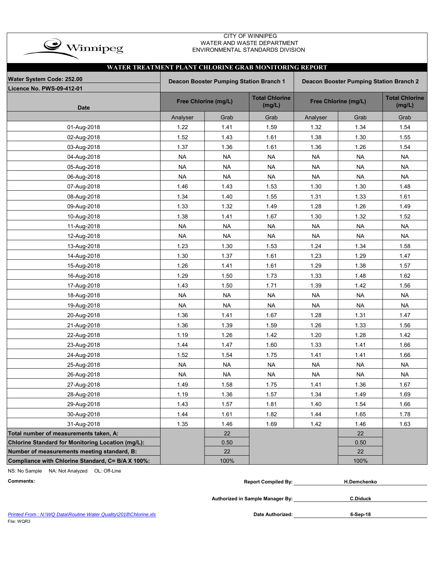

### CITY OF WINNIPEG WATER AND WASTE DEPARTMENT ENVIRONMENTAL STANDARDS DIVISION

| WATER TREATMENT PLANT CHLORINE GRAB MONITORING REPORT |                                                                                    |                      |                                 |           |                      |                                 |  |  |  |  |  |  |  |
|-------------------------------------------------------|------------------------------------------------------------------------------------|----------------------|---------------------------------|-----------|----------------------|---------------------------------|--|--|--|--|--|--|--|
| Water System Code: 252.00                             | Deacon Booster Pumping Station Branch 1<br>Deacon Booster Pumping Station Branch 2 |                      |                                 |           |                      |                                 |  |  |  |  |  |  |  |
| <b>Licence No. PWS-09-412-01</b>                      |                                                                                    |                      |                                 |           |                      |                                 |  |  |  |  |  |  |  |
| <b>Date</b>                                           |                                                                                    | Free Chlorine (mg/L) | <b>Total Chlorine</b><br>(mg/L) |           | Free Chlorine (mg/L) | <b>Total Chlorine</b><br>(mg/L) |  |  |  |  |  |  |  |
|                                                       | Analyser                                                                           | Grab                 | Grab                            | Analyser  | Grab                 | Grab                            |  |  |  |  |  |  |  |
| 01-Aug-2018                                           | 1.22                                                                               | 1.41                 | 1.59                            | 1.32      | 1.34                 | 1.54                            |  |  |  |  |  |  |  |
| 02-Aug-2018                                           | 1.52                                                                               | 1.43                 | 1.61                            | 1.38      | 1.30                 | 1.55                            |  |  |  |  |  |  |  |
| 03-Aug-2018                                           | 1.37                                                                               | 1.36                 | 1.61                            | 1.36      | 1.26                 | 1.54                            |  |  |  |  |  |  |  |
| 04-Aug-2018                                           | <b>NA</b>                                                                          | <b>NA</b>            | <b>NA</b>                       | <b>NA</b> | <b>NA</b>            | <b>NA</b>                       |  |  |  |  |  |  |  |
| 05-Aug-2018                                           | <b>NA</b>                                                                          | <b>NA</b>            | <b>NA</b>                       | <b>NA</b> | <b>NA</b>            | <b>NA</b>                       |  |  |  |  |  |  |  |
| 06-Aug-2018                                           | <b>NA</b>                                                                          | <b>NA</b>            | <b>NA</b>                       | <b>NA</b> | <b>NA</b>            | <b>NA</b>                       |  |  |  |  |  |  |  |
| 07-Aug-2018                                           | 1.46                                                                               | 1.43                 | 1.53                            | 1.30      | 1.30                 | 1.48                            |  |  |  |  |  |  |  |
| 08-Aug-2018                                           | 1.34                                                                               | 1.40                 | 1.55                            | 1.31      | 1.33                 | 1.61                            |  |  |  |  |  |  |  |
| 09-Aug-2018                                           | 1.33                                                                               | 1.32                 | 1.49                            | 1.28      | 1.26                 | 1.49                            |  |  |  |  |  |  |  |
| 10-Aug-2018                                           | 1.38                                                                               | 1.41                 | 1.67                            | 1.30      | 1.32                 | 1.52                            |  |  |  |  |  |  |  |
| 11-Aug-2018                                           | <b>NA</b>                                                                          | <b>NA</b>            | <b>NA</b>                       | <b>NA</b> | <b>NA</b>            | <b>NA</b>                       |  |  |  |  |  |  |  |
| 12-Aug-2018                                           | <b>NA</b>                                                                          | <b>NA</b>            | <b>NA</b>                       | <b>NA</b> | <b>NA</b>            | <b>NA</b>                       |  |  |  |  |  |  |  |
| 13-Aug-2018                                           | 1.23                                                                               | 1.30                 | 1.53                            | 1.24      | 1.34                 | 1.58                            |  |  |  |  |  |  |  |
| 14-Aug-2018                                           | 1.30                                                                               | 1.37                 | 1.61                            | 1.23      | 1.29                 | 1.47                            |  |  |  |  |  |  |  |
| 15-Aug-2018                                           | 1.26                                                                               | 1.41                 | 1.61                            | 1.29      | 1.38                 | 1.57                            |  |  |  |  |  |  |  |
| 16-Aug-2018                                           | 1.29                                                                               | 1.50                 | 1.73                            | 1.33      | 1.48                 | 1.62                            |  |  |  |  |  |  |  |
| 17-Aug-2018                                           | 1.43                                                                               | 1.50                 | 1.71                            | 1.39      | 1.42                 | 1.56                            |  |  |  |  |  |  |  |
| 18-Aug-2018                                           | <b>NA</b>                                                                          | <b>NA</b>            | <b>NA</b>                       | <b>NA</b> | <b>NA</b>            | <b>NA</b>                       |  |  |  |  |  |  |  |
| 19-Aug-2018                                           | <b>NA</b>                                                                          | <b>NA</b>            | <b>NA</b>                       | <b>NA</b> | <b>NA</b>            | <b>NA</b>                       |  |  |  |  |  |  |  |
| 20-Aug-2018                                           | 1.36                                                                               | 1.41                 | 1.67                            | 1.28      | 1.31                 | 1.47                            |  |  |  |  |  |  |  |
| 21-Aug-2018                                           | 1.36                                                                               | 1.39                 | 1.59                            | 1.26      | 1.33                 | 1.56                            |  |  |  |  |  |  |  |
| 22-Aug-2018                                           | 1.19                                                                               | 1.26                 | 1.42                            | 1.20      | 1.28                 | 1.42                            |  |  |  |  |  |  |  |
| 23-Aug-2018                                           | 1.44                                                                               | 1.47                 | 1.60                            | 1.33      | 1.41                 | 1.66                            |  |  |  |  |  |  |  |
| 24-Aug-2018                                           | 1.52                                                                               | 1.54                 | 1.75                            | 1.41      | 1.41                 | 1.66                            |  |  |  |  |  |  |  |
| 25-Aug-2018                                           | <b>NA</b>                                                                          | <b>NA</b>            | <b>NA</b>                       | <b>NA</b> | <b>NA</b>            | <b>NA</b>                       |  |  |  |  |  |  |  |
| 26-Aug-2018                                           | <b>NA</b>                                                                          | <b>NA</b>            | <b>NA</b>                       | <b>NA</b> | <b>NA</b>            | <b>NA</b>                       |  |  |  |  |  |  |  |
| 27-Aug-2018                                           | 1.49                                                                               | 1.58                 | 1.75                            | 1.41      | 1.36                 | 1.67                            |  |  |  |  |  |  |  |
| 28-Aug-2018                                           | 1.19                                                                               | 1.36                 | 1.57                            | 1.34      | 1.49                 | 1.69                            |  |  |  |  |  |  |  |
| 29-Aug-2018                                           | 1.43                                                                               | 1.57                 | 1.81                            | 1.40      | 1.54                 | 1.66                            |  |  |  |  |  |  |  |
| 30-Aug-2018                                           | 1.44                                                                               | 1.61                 | 1.82                            | 1.44      | 1.65                 | 1.78                            |  |  |  |  |  |  |  |
| 31-Aug-2018                                           | 1.35                                                                               | 1.46                 | 1.69                            | 1.42      | 1.46                 | 1.63                            |  |  |  |  |  |  |  |
| Total number of measurements taken, A:                |                                                                                    | 22                   |                                 |           | 22                   |                                 |  |  |  |  |  |  |  |
| Chlorine Standard for Monitoring Location (mg/L):     |                                                                                    | 0.50                 |                                 |           | 0.50                 |                                 |  |  |  |  |  |  |  |
| Number of measurements meeting standard, B:           |                                                                                    | 22                   |                                 |           | 22                   |                                 |  |  |  |  |  |  |  |
| Compliance with Chlorine Standard, C= B/A X 100%:     |                                                                                    | 100%                 |                                 |           | 100%                 |                                 |  |  |  |  |  |  |  |

NS: No Sample NA: Not Analyzed OL: Off-Line

| Comments | $-$<br>≀ Bv:<br>Compiled<br>Renor' | emchenko. |  |
|----------|------------------------------------|-----------|--|
|          |                                    |           |  |

**Authorized in Sample Manager By:**

**C.Diduck**

**6-Sep-18**